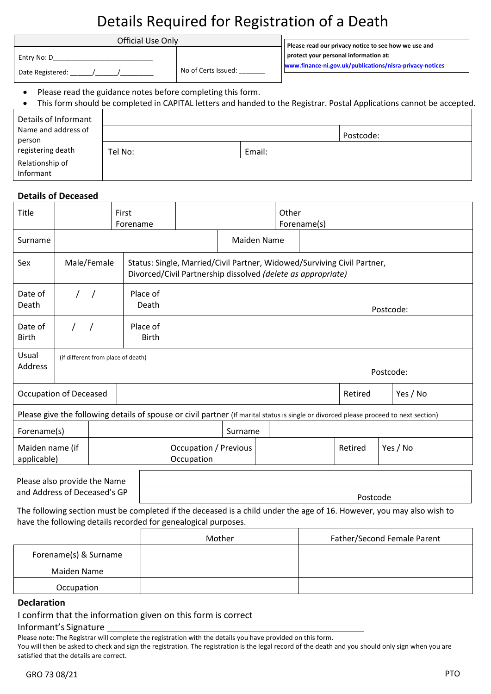# Details Required for Registration of a Death

| Official Use Only               | Please read our privacy notice to see how we use and |                                                                                                   |  |
|---------------------------------|------------------------------------------------------|---------------------------------------------------------------------------------------------------|--|
| Entry No: D<br>Date Registered: | No of Certs Issued:                                  | protect your personal information at:<br>www.finance-ni.gov.uk/publications/nisra-privacy-notices |  |

Please read the guidance notes before completing this form.

| Details of Informant                               |         |           |  |
|----------------------------------------------------|---------|-----------|--|
| Name and address of<br>person<br>registering death |         | Postcode: |  |
|                                                    | Tel No: | Email:    |  |
| Relationship of<br>Informant                       |         |           |  |

#### **Details of Deceased**

| Title                                                                                                                                 |  |             | First<br>Forename        |  | Other<br>Forename(s)                                                                                                                    |                    |  |  |                     |  |          |
|---------------------------------------------------------------------------------------------------------------------------------------|--|-------------|--------------------------|--|-----------------------------------------------------------------------------------------------------------------------------------------|--------------------|--|--|---------------------|--|----------|
| Surname                                                                                                                               |  |             |                          |  |                                                                                                                                         | <b>Maiden Name</b> |  |  |                     |  |          |
| Sex                                                                                                                                   |  | Male/Female |                          |  | Status: Single, Married/Civil Partner, Widowed/Surviving Civil Partner,<br>Divorced/Civil Partnership dissolved (delete as appropriate) |                    |  |  |                     |  |          |
| Date of<br>Death                                                                                                                      |  | $\prime$ /  | Place of<br>Death        |  | Postcode:                                                                                                                               |                    |  |  |                     |  |          |
| Date of<br><b>Birth</b>                                                                                                               |  |             | Place of<br><b>Birth</b> |  |                                                                                                                                         |                    |  |  |                     |  |          |
| Usual<br>(if different from place of death)<br>Address<br>Postcode:                                                                   |  |             |                          |  |                                                                                                                                         |                    |  |  |                     |  |          |
| <b>Occupation of Deceased</b>                                                                                                         |  |             |                          |  |                                                                                                                                         |                    |  |  | Yes / No<br>Retired |  |          |
| Please give the following details of spouse or civil partner (If marital status is single or divorced please proceed to next section) |  |             |                          |  |                                                                                                                                         |                    |  |  |                     |  |          |
| Forename(s)<br>Surname                                                                                                                |  |             |                          |  |                                                                                                                                         |                    |  |  |                     |  |          |
| Maiden name (if<br>applicable)                                                                                                        |  |             |                          |  | <b>Occupation / Previous</b><br>Occupation                                                                                              |                    |  |  | Retired             |  | Yes / No |
| Discovered as a marrial and the Allen                                                                                                 |  |             |                          |  |                                                                                                                                         |                    |  |  |                     |  |          |

Please also provide the Name and Address of Deceased's GP

Postcode

The following section must be completed if the deceased is a child under the age of 16. However, you may also wish to have the following details recorded for genealogical purposes.

|                       | Mother | Father/Second Female Parent |
|-----------------------|--------|-----------------------------|
| Forename(s) & Surname |        |                             |
| Maiden Name           |        |                             |
| Occupation            |        |                             |

#### **Declaration**

I confirm that the information given on this form is correct

#### Informant's Signature

Please note: The Registrar will complete the registration with the details you have provided on this form.

You will then be asked to check and sign the registration. The registration is the legal record of the death and you should only sign when you are satisfied that the details are correct.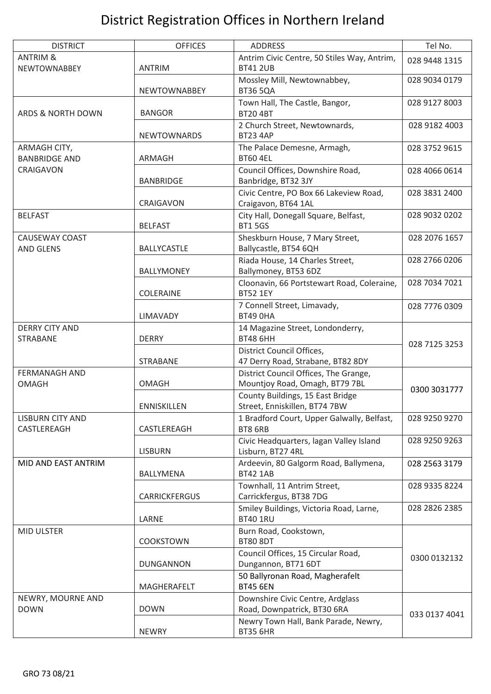# District Registration Offices in Northern Ireland

| <b>DISTRICT</b>                            | <b>OFFICES</b>                                                                          | <b>ADDRESS</b>                                                    |               |  |
|--------------------------------------------|-----------------------------------------------------------------------------------------|-------------------------------------------------------------------|---------------|--|
| <b>ANTRIM &amp;</b><br><b>NEWTOWNABBEY</b> | Antrim Civic Centre, 50 Stiles Way, Antrim,<br><b>BT41 2UB</b><br><b>ANTRIM</b>         |                                                                   | 028 9448 1315 |  |
|                                            | <b>NEWTOWNABBEY</b>                                                                     | Mossley Mill, Newtownabbey,<br><b>BT36 5QA</b>                    | 028 9034 0179 |  |
| <b>ARDS &amp; NORTH DOWN</b>               | <b>BANGOR</b>                                                                           | Town Hall, The Castle, Bangor,<br><b>BT20 4BT</b>                 | 028 9127 8003 |  |
|                                            | <b>NEWTOWNARDS</b>                                                                      | 2 Church Street, Newtownards,<br><b>BT23 4AP</b>                  | 028 9182 4003 |  |
| ARMAGH CITY,<br><b>BANBRIDGE AND</b>       | ARMAGH                                                                                  | The Palace Demesne, Armagh,<br><b>BT60 4EL</b>                    | 028 3752 9615 |  |
| CRAIGAVON                                  | <b>BANBRIDGE</b>                                                                        | Council Offices, Downshire Road,<br>Banbridge, BT32 3JY           | 028 4066 0614 |  |
|                                            | CRAIGAVON                                                                               | Civic Centre, PO Box 66 Lakeview Road,<br>Craigavon, BT64 1AL     | 028 3831 2400 |  |
| <b>BELFAST</b>                             | <b>BELFAST</b>                                                                          | City Hall, Donegall Square, Belfast,<br><b>BT15GS</b>             | 028 9032 0202 |  |
| <b>CAUSEWAY COAST</b><br><b>AND GLENS</b>  | BALLYCASTLE                                                                             | Sheskburn House, 7 Mary Street,<br>Ballycastle, BT54 6QH          | 028 2076 1657 |  |
|                                            | <b>BALLYMONEY</b>                                                                       | Riada House, 14 Charles Street,<br>Ballymoney, BT53 6DZ           | 028 2766 0206 |  |
|                                            | COLERAINE                                                                               | Cloonavin, 66 Portstewart Road, Coleraine,<br><b>BT52 1EY</b>     | 028 7034 7021 |  |
|                                            | LIMAVADY                                                                                | 7 Connell Street, Limavady,<br><b>BT49 OHA</b>                    | 028 7776 0309 |  |
| <b>DERRY CITY AND</b><br><b>STRABANE</b>   | <b>DERRY</b>                                                                            | 14 Magazine Street, Londonderry,<br><b>BT48 6HH</b>               | 028 7125 3253 |  |
|                                            | <b>STRABANE</b>                                                                         | District Council Offices,<br>47 Derry Road, Strabane, BT82 8DY    |               |  |
| <b>FERMANAGH AND</b><br><b>OMAGH</b>       | District Council Offices, The Grange,<br>Mountjoy Road, Omagh, BT79 7BL<br><b>OMAGH</b> |                                                                   | 0300 3031777  |  |
| <b>ENNISKILLEN</b>                         |                                                                                         | County Buildings, 15 East Bridge<br>Street, Enniskillen, BT74 7BW |               |  |
| <b>LISBURN CITY AND</b><br>CASTLEREAGH     | 1 Bradford Court, Upper Galwally, Belfast,<br>CASTLEREAGH<br>BT8 6RB                    |                                                                   | 028 9250 9270 |  |
|                                            | <b>LISBURN</b>                                                                          | Civic Headquarters, lagan Valley Island<br>Lisburn, BT27 4RL      | 028 9250 9263 |  |
| MID AND EAST ANTRIM                        | BALLYMENA                                                                               | Ardeevin, 80 Galgorm Road, Ballymena,<br><b>BT42 1AB</b>          | 028 2563 3179 |  |
|                                            | <b>CARRICKFERGUS</b>                                                                    | Townhall, 11 Antrim Street,<br>Carrickfergus, BT38 7DG            | 028 9335 8224 |  |
|                                            | LARNE                                                                                   | Smiley Buildings, Victoria Road, Larne,<br><b>BT40 1RU</b>        | 028 2826 2385 |  |
| MID ULSTER                                 | <b>COOKSTOWN</b>                                                                        | Burn Road, Cookstown,<br><b>BT80 8DT</b>                          |               |  |
| <b>DUNGANNON</b>                           |                                                                                         | Council Offices, 15 Circular Road,<br>Dungannon, BT71 6DT         | 0300 0132132  |  |
|                                            | MAGHERAFELT                                                                             | 50 Ballyronan Road, Magherafelt<br><b>BT45 6EN</b>                |               |  |
| NEWRY, MOURNE AND<br><b>DOWN</b>           | <b>DOWN</b>                                                                             | Downshire Civic Centre, Ardglass<br>Road, Downpatrick, BT30 6RA   | 033 0137 4041 |  |
|                                            | <b>NEWRY</b>                                                                            | Newry Town Hall, Bank Parade, Newry,<br><b>BT35 6HR</b>           |               |  |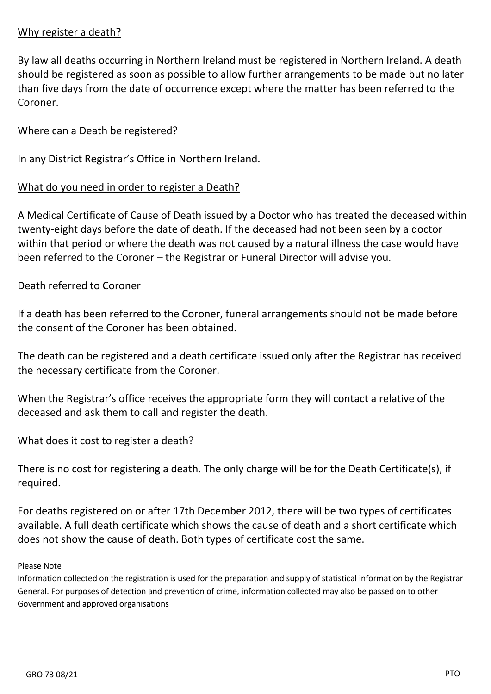### Why register a death?

By law all deaths occurring in Northern Ireland must be registered in Northern Ireland. A death should be registered as soon as possible to allow further arrangements to be made but no later than five days from the date of occurrence except where the matter has been referred to the Coroner.

#### Where can a Death be registered?

In any District Registrar's Office in Northern Ireland.

### What do you need in order to register a Death?

A Medical Certificate of Cause of Death issued by a Doctor who has treated the deceased within twenty-eight days before the date of death. If the deceased had not been seen by a doctor within that period or where the death was not caused by a natural illness the case would have been referred to the Coroner – the Registrar or Funeral Director will advise you.

#### Death referred to Coroner

If a death has been referred to the Coroner, funeral arrangements should not be made before the consent of the Coroner has been obtained.

The death can be registered and a death certificate issued only after the Registrar has received the necessary certificate from the Coroner.

When the Registrar's office receives the appropriate form they will contact a relative of the deceased and ask them to call and register the death.

#### What does it cost to register a death?

There is no cost for registering a death. The only charge will be for the Death Certificate(s), if required.

For deaths registered on or after 17th December 2012, there will be two types of certificates available. A full death certificate which shows the cause of death and a short certificate which does not show the cause of death. Both types of certificate cost the same.

#### Please Note

Information collected on the registration is used for the preparation and supply of statistical information by the Registrar General. For purposes of detection and prevention of crime, information collected may also be passed on to other Government and approved organisations